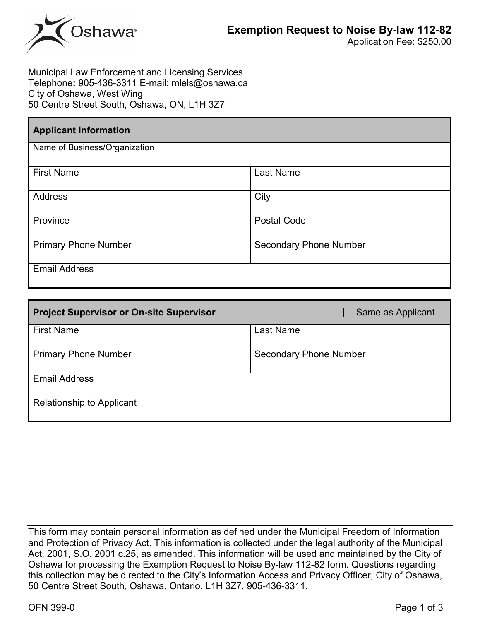

Municipal Law Enforcement and Licensing Services Telephone**:** 905-436-3311 E-mail: mlels@oshawa.ca City of Oshawa, West Wing 50 Centre Street South, Oshawa, ON, L1H 3Z7

| <b>Applicant Information</b>  |                               |  |  |  |
|-------------------------------|-------------------------------|--|--|--|
| Name of Business/Organization |                               |  |  |  |
| <b>First Name</b>             | <b>Last Name</b>              |  |  |  |
| Address                       | City                          |  |  |  |
| Province                      | <b>Postal Code</b>            |  |  |  |
| <b>Primary Phone Number</b>   | <b>Secondary Phone Number</b> |  |  |  |
| <b>Email Address</b>          |                               |  |  |  |

| <b>Project Supervisor or On-site Supervisor</b> | Same as Applicant             |
|-------------------------------------------------|-------------------------------|
| <b>First Name</b>                               | <b>Last Name</b>              |
| <b>Primary Phone Number</b>                     | <b>Secondary Phone Number</b> |
| <b>Email Address</b>                            |                               |
| <b>Relationship to Applicant</b>                |                               |

This form may contain personal information as defined under the Municipal Freedom of Information and Protection of Privacy Act. This information is collected under the legal authority of the Municipal Act, 2001, S.O. 2001 c.25, as amended. This information will be used and maintained by the City of Oshawa for processing the Exemption Request to Noise By-law 112-82 form. Questions regarding this collection may be directed to the City's Information Access and Privacy Officer, City of Oshawa, 50 Centre Street South, Oshawa, Ontario, L1H 3Z7, 905-436-3311.

OFN 399-0 Page 1 of 3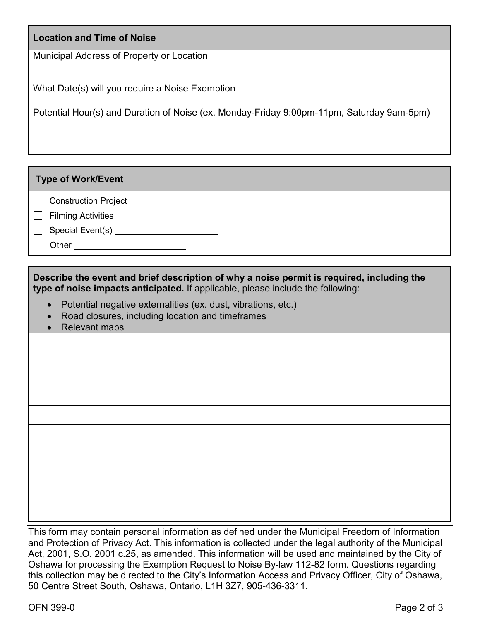## **Location and Time of Noise**

Municipal Address of Property or Location

What Date(s) will you require a Noise Exemption

Potential Hour(s) and Duration of Noise (ex. Monday-Friday 9:00pm-11pm, Saturday 9am-5pm)

**Type of Work/Event**

□ Construction Project

 $\Box$  Filming Activities

□ Special Event(s) <u>\_\_\_\_\_\_\_\_\_\_\_\_\_\_\_\_\_\_\_\_\_</u>

□ Other

**Describe the event and brief description of why a noise permit is required, including the type of noise impacts anticipated.** If applicable, please include the following:

- Potential negative externalities (ex. dust, vibrations, etc.)
- Road closures, including location and timeframes
- Relevant maps

This form may contain personal information as defined under the Municipal Freedom of Information and Protection of Privacy Act. This information is collected under the legal authority of the Municipal Act, 2001, S.O. 2001 c.25, as amended. This information will be used and maintained by the City of Oshawa for processing the Exemption Request to Noise By-law 112-82 form. Questions regarding this collection may be directed to the City's Information Access and Privacy Officer, City of Oshawa, 50 Centre Street South, Oshawa, Ontario, L1H 3Z7, 905-436-3311.

OFN 399-0 Page 2 of 3